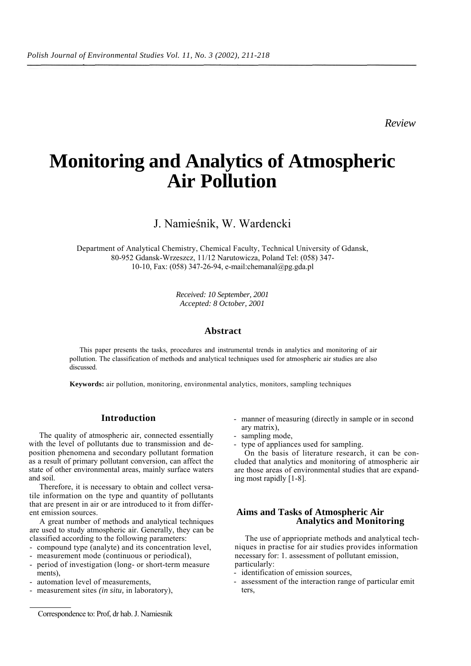*Review*

# **Monitoring and Analytics of Atmospheric Air Pollution**

# J. Namieśnik, W. Wardencki

Department of Analytical Chemistry, Chemical Faculty, Technical University of Gdansk, 80-952 Gdansk-Wrzeszcz, 11/12 Narutowicza, Poland Tel: (058) 347- 10-10, Fax: (058) 347-26-94, e-mail:chemanal@pg.gda.pl

> *Received: 10 September, 2001 Accepted: 8 October, 2001*

#### **Abstract**

This paper presents the tasks, procedures and instrumental trends in analytics and monitoring of air pollution. The classification of methods and analytical techniques used for atmospheric air studies are also discussed.

**Keywords:** air pollution, monitoring, environmental analytics, monitors, sampling techniques

#### **Introduction**

The quality of atmospheric air, connected essentially with the level of pollutants due to transmission and deposition phenomena and secondary pollutant formation as a result of primary pollutant conversion, can affect the state of other environmental areas, mainly surface waters and soil.

Therefore, it is necessary to obtain and collect versatile information on the type and quantity of pollutants that are present in air or are introduced to it from different emission sources.

A great number of methods and analytical techniques are used to study atmospheric air. Generally, they can be classified according to the following parameters:

- compound type (analyte) and its concentration level,

- measurement mode (continuous or periodical),
- period of investigation (long- or short-term measure ments),
- automation level of measurements,
- measurement sites *(in situ,* in laboratory),
- manner of measuring (directly in sample or in second ary matrix),
- sampling mode,
- type of appliances used for sampling.

On the basis of literature research, it can be concluded that analytics and monitoring of atmospheric air are those areas of environmental studies that are expanding most rapidly [1-8].

#### **Aims and Tasks of Atmospheric Air Analytics and Monitoring**

The use of appriopriate methods and analytical techniques in practise for air studies provides information necessary for: 1. assessment of pollutant emission, particularly:

- identification of emission sources,
- assessment of the interaction range of particular emit ters,

Correspondence to: Prof, dr hab. J. Namiesnik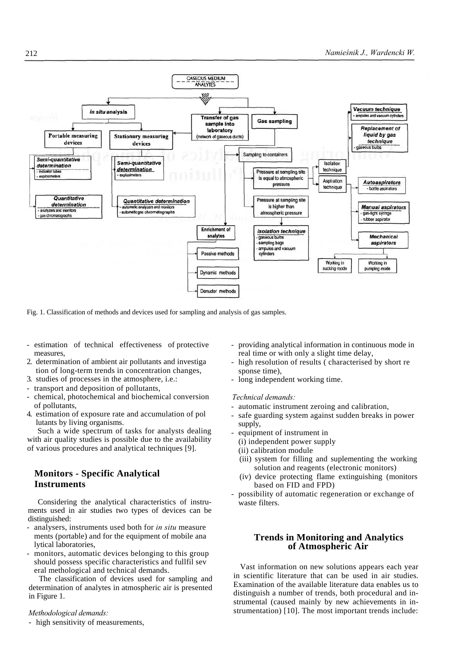

Fig. 1. Classification of methods and devices used for sampling and analysis of gas samples.

- estimation of technical effectiveness of protective measures,
- 2. determination of ambient air pollutants and investiga tion of long-term trends in concentration changes,
- 3. studies of processes in the atmosphere, i.e.:
- transport and deposition of pollutants,
- chemical, photochemical and biochemical conversion of pollutants,
- 4. estimation of exposure rate and accumulation of pol lutants by living organisms.

Such a wide spectrum of tasks for analysts dealing with air quality studies is possible due to the availability of various procedures and analytical techniques [9].

# **Monitors - Specific Analytical Instruments**

Considering the analytical characteristics of instruments used in air studies two types of devices can be distinguished:

- analysers, instruments used both for *in situ* measure ments (portable) and for the equipment of mobile ana lytical laboratories,
- monitors, automatic devices belonging to this group should possess specific characteristics and fullfil sev eral methological and technical demands.

The classification of devices used for sampling and determination of analytes in atmospheric air is presented in Figure 1.

#### *Methodological demands:*

- high sensitivity of measurements,

- providing analytical information in continuous mode in real time or with only a slight time delay,
- high resolution of results (characterised by short re sponse time),
- long independent working time.

#### *Technical demands:*

- automatic instrument zeroing and calibration,
- safe guarding system against sudden breaks in power supply,
- equipment of instrument in
- (i) independent power supply
- (ii) calibration module
- (iii) system for filling and suplementing the working solution and reagents (electronic monitors)
- (iv) device protecting flame extinguishing (monitors based on FID and FPD)
- possibility of automatic regeneration or exchange of waste filters.

### **Trends in Monitoring and Analytics of Atmospheric Air**

Vast information on new solutions appears each year in scientific literature that can be used in air studies. Examination of the available literature data enables us to distinguish a number of trends, both procedural and instrumental (caused mainly by new achievements in instrumentation) [10]. The most important trends include: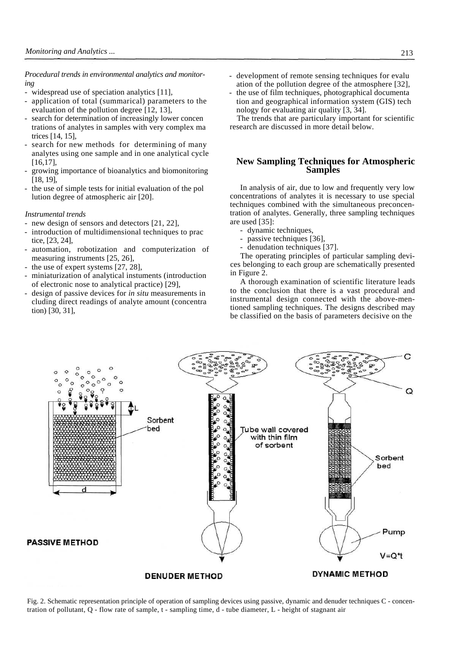*Procedural trends in environmental analytics and monitoring*

- widespread use of speciation analytics [11],
- application of total (summarical) parameters to the evaluation of the pollution degree [12, 13],
- search for determination of increasingly lower concen trations of analytes in samples with very complex ma trices [14, 15],
- search for new methods for determining of many analytes using one sample and in one analytical cycle [16,17],
- growing importance of bioanalytics and biomonitoring [18, 19],
- the use of simple tests for initial evaluation of the pol lution degree of atmospheric air [20].

#### *Instrumental trends*

- new design of sensors and detectors [21, 22],
- introduction of multidimensional techniques to prac tice, [23, 24],
- automation, robotization and computerization of measuring instruments [25, 26],
- the use of expert systems  $[27, 28]$ ,
- miniaturization of analytical instuments (introduction of electronic nose to analytical practice) [29],
- design of passive devices for *in situ* measurements in cluding direct readings of analyte amount (concentra tion) [30, 31],
- development of remote sensing techniques for evalu ation of the pollution degree of the atmosphere [32],
- the use of film techniques, photographical documenta tion and geographical information system (GIS) tech nology for evaluating air quality [3, 34].

The trends that are particulary important for scientific research are discussed in more detail below.

# **New Sampling Techniques for Atmospheric Samples**

In analysis of air, due to low and frequently very low concentrations of analytes it is necessary to use special techniques combined with the simultaneous preconcentration of analytes. Generally, three sampling techniques are used [35]:

- dynamic techniques,
- passive techniques [36].
- denudation techniques [37].

The operating principles of particular sampling devices belonging to each group are schematically presented in Figure 2.

A thorough examination of scientific literature leads to the conclusion that there is a vast procedural and instrumental design connected with the above-mentioned sampling techniques. The designs described may be classified on the basis of parameters decisive on the



Fig. 2. Schematic representation principle of operation of sampling devices using passive, dynamic and denuder techniques C - concentration of pollutant, Q - flow rate of sample, t - sampling time, d - tube diameter, L - height of stagnant air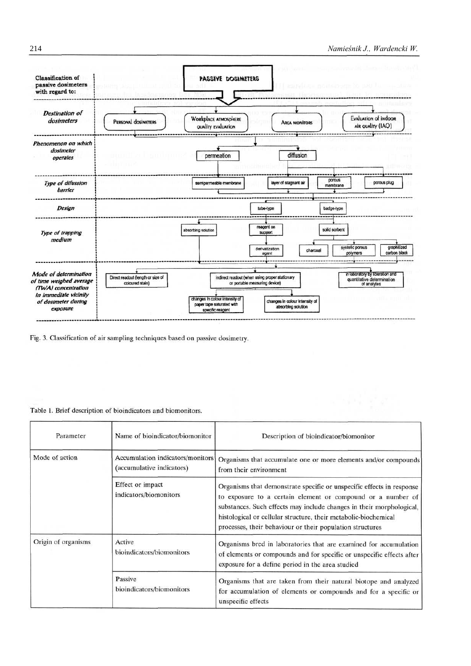

Fig. 3. Classification of air sampling techniques based on passive dosimetry.

#### Table 1. Brief description of bioindicators and biomonitors.

| Parameter           | Name of bioindicator/biomonitor                               | Description of bioindicator/biomonitor                                                                                                                                                                                                                                                                                                       |
|---------------------|---------------------------------------------------------------|----------------------------------------------------------------------------------------------------------------------------------------------------------------------------------------------------------------------------------------------------------------------------------------------------------------------------------------------|
| Mode of action      | Accumulation indicators/monitors<br>(accumulative indicators) | Organisms that accumulate one or more elements and/or compounds<br>from their environment                                                                                                                                                                                                                                                    |
|                     | Effect or impact<br>indicators/biomonitors                    | Organisms that demonstrate specific or unspecific effects in response<br>to exposure to a certain element or compound or a number of<br>substances. Such effects may include changes in their morphological,<br>histological or cellular structure, their metabolic-biochemical<br>processes, their behaviour or their population structures |
| Origin of organisms | Active<br>bioindicators/biomonitors                           | Organisms bred in laboratories that are examined for accumulation<br>of elements or compounds and for specific or unspecific effects after<br>exposure for a define period in the area studied                                                                                                                                               |
|                     | Passive<br>bioindicators/biomonitors                          | Organisms that are taken from their natural biotope and analyzed<br>for accumulation of elements or compounds and for a specific or<br>unspecific effects                                                                                                                                                                                    |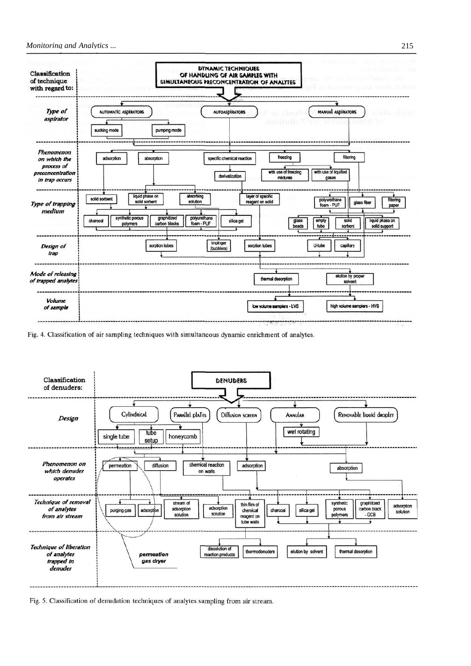

Fig. 4. Classification of air sampling techniques with simultaneous dynamic enrichment of analytes.



Fig. 5. Classification of denudation techniques of analytes sampling from air stream.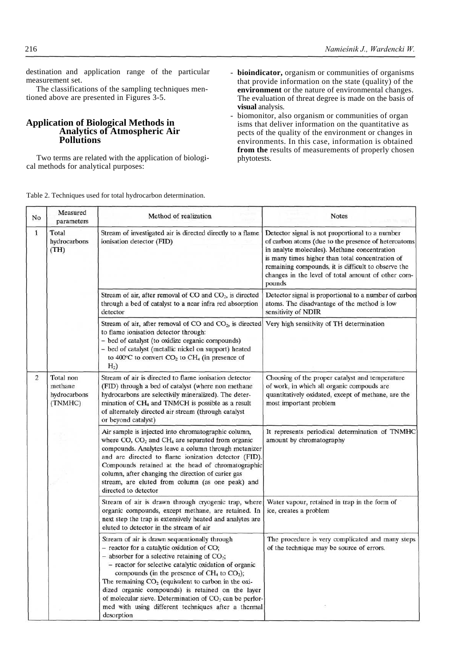destination and application range of the particular measurement set.

The classifications of the sampling techniques mentioned above are presented in Figures 3-5.

# **Application of Biological Methods in Analytics of Atmospheric Air Pollutions**

Two terms are related with the application of biological methods for analytical purposes:

- **bioindicator,** organism or communities of organisms that provide information on the state (quality) of the **environment** or the nature of environmental changes. The evaluation of threat degree is made on the basis of **visual** analysis.
- biomonitor, also organism or communities of organ isms that deliver information on the quantitative as pects of the quality of the environment or changes in environments. In this case, information is obtained **from the** results of measurements of properly chosen phytotests.

Table 2. Techniques used for total hydrocarbon determination.

| No                   | Measured<br>parameters                          | Method of realization                                                                                                                                                                                                                                                                                                                                                                                                                                                                                       | <b>Notes</b>                                                                                                                                                                                                                                                                                                                      |
|----------------------|-------------------------------------------------|-------------------------------------------------------------------------------------------------------------------------------------------------------------------------------------------------------------------------------------------------------------------------------------------------------------------------------------------------------------------------------------------------------------------------------------------------------------------------------------------------------------|-----------------------------------------------------------------------------------------------------------------------------------------------------------------------------------------------------------------------------------------------------------------------------------------------------------------------------------|
| $\mathbf{1}$         | Total<br>hydrocarbons<br>(TH)                   | Stream of investigated air is directed directly to a flame<br>ionisation detector (FID)                                                                                                                                                                                                                                                                                                                                                                                                                     | Detector signal is not proportional to a number<br>of carbon atoms (due to the presence of heteroatoms<br>in analyte molecules). Methane concentration<br>is many times higher than total concentration of<br>remaining compounds, it is difficult to observe the<br>changes in the level of total amount of other com-<br>pounds |
|                      |                                                 | Stream of air, after removal of CO and CO <sub>2</sub> , is directed<br>through a bed of catalyst to a near infra red absorption<br>detector                                                                                                                                                                                                                                                                                                                                                                | Detector signal is proportional to a number of carbon<br>atoms. The disadvantage of the method is low<br>sensitivity of NDIR                                                                                                                                                                                                      |
|                      |                                                 | Stream of air, after removal of $CO$ and $CO2$ , is directed<br>to flame ionisation detector through:<br>- bed of catalyst (to oxidize organic compounds)<br>- bed of catalyst (metallic nickel on support) heated<br>to 400°C to convert CO <sub>2</sub> to CH <sub>4</sub> (in presence of<br>H <sub>2</sub>                                                                                                                                                                                              | Very high sensitivity of TH determination                                                                                                                                                                                                                                                                                         |
| 2                    | Total non<br>methane<br>hydrocarbons<br>(TNMHC) | Stream of air is directed to flame ionisation detector<br>(FID) through a bed of catalyst (where non methane<br>hydrocarbons are selectivily mineralized). The deter-<br>mination of CH <sub>4</sub> and TNMCH is possible as a result<br>of alternately directed air stream (through catalyst<br>or beyond catalyst)                                                                                                                                                                                       | Choosing of the proper catalyst and temperature<br>of work, in which all organic compouds are<br>quantitatively oxidated, except of methane, are the<br>most important problem                                                                                                                                                    |
| directed to detector |                                                 | Air sample is injected into chromatographic column,<br>where CO, CO <sub>2</sub> and CH <sub>4</sub> are separated from organic<br>compounds. Analytes leave a column through metanizer<br>and are directed to flame ionization detector (FID).<br>Compounds retained at the head of chromatographic<br>column, after changing the direction of carier gas<br>stream, are eluted from column (as one peak) and                                                                                              | It represents periodical determination of TNMHC<br>amount by chromatography                                                                                                                                                                                                                                                       |
|                      |                                                 | Stream of air is drawn through cryogenic trap, where<br>organic compounds, except methane, are retained. In<br>next step the trap is extensively heated and analytes are<br>eluted to detector in the stream of air                                                                                                                                                                                                                                                                                         | Water vapour, retained in trap in the form of<br>ice, creates a problem                                                                                                                                                                                                                                                           |
|                      |                                                 | Stream of air is drawn sequentionally through<br>- reactor for a catalytic oxidation of CO;<br>- absorber for a selective retaining of $CO2$ ;<br>- reactor for selective catalytic oxidation of organic<br>compounds (in the presence of $CH4$ to $CO2$ );<br>The remaining $CO2$ (equivalent to carbon in the oxi-<br>dized organic compounds) is retained on the layer<br>of molecular sieve. Determination of $CO2$ can be perfor-<br>med with using different techniques after a thermal<br>desorption | The procedure is very complicated and many steps<br>of the technique may be source of errors.                                                                                                                                                                                                                                     |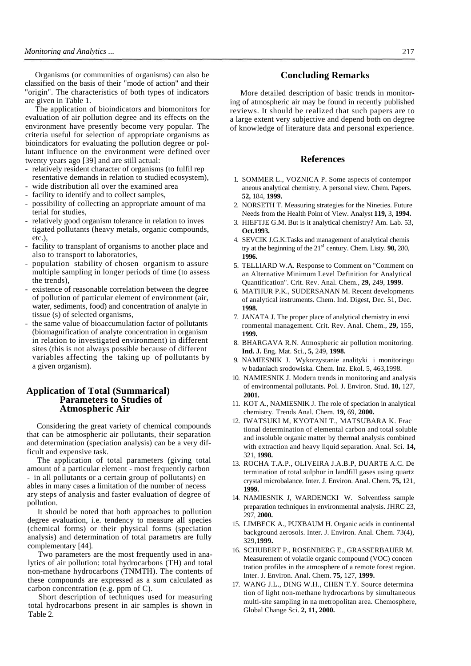Organisms (or communities of organisms) can also be classified on the basis of their "mode of action" and their "origin". The characteristics of both types of indicators are given in Table 1.

The application of bioindicators and biomonitors for evaluation of air pollution degree and its effects on the environment have presently become very popular. The criteria useful for selection of appropriate organisms as bioindicators for evaluating the pollution degree or pollutant influence on the environment were defined over twenty years ago [39] and are still actual:

- relatively resident character of organisms (to fulfil rep resentative demands in relation to studied ecosystem),
- wide distribution all over the examined area
- facility to identify and to collect samples,
- possibility of collecting an appropriate amount of ma terial for studies,
- relatively good organism tolerance in relation to inves tigated pollutants (heavy metals, organic compounds, etc.),
- facility to transplant of organisms to another place and also to transport to laboratories,
- population stability of chosen organism to assure multiple sampling in longer periods of time (to assess the trends),
- existence of reasonable correlation between the degree of pollution of particular element of environment (air, water, sediments, food) and concentration of analyte in tissue (s) of selected organisms,
- the same value of bioaccumulation factor of pollutants (biomagnification of analyte concentration in organism in relation to investigated environment) in different sites (this is not always possible because of different variables affecting the taking up of pollutants by a given organism).

### **Application of Total (Summarical) Parameters to Studies of Atmospheric Air**

Considering the great variety of chemical compounds that can be atmospheric air pollutants, their separation and determination (speciation analysis) can be a very difficult and expensive task.

The application of total parameters (giving total amount of a particular element - most frequently carbon - in all pollutants or a certain group of pollutants) en ables in many cases a limitation of the number of necess ary steps of analysis and faster evaluation of degree of pollution.

It should be noted that both approaches to pollution degree evaluation, i.e. tendency to measure all species (chemical forms) or their physical forms (speciation analysis) and determination of total parametrs are fully complementary [44].

Two parameters are the most frequently used in analytics of air pollution: total hydrocarbons (TH) and total non-methane hydrocarbons (TNMTH). The contents of these compounds are expressed as a sum calculated as carbon concentration (e.g. ppm of C).

Short description of techniques used for measuring total hydrocarbons present in air samples is shown in Table 2.

### **Concluding Remarks**

More detailed description of basic trends in monitoring of atmospheric air may be found in recently published reviews. It should be realized that such papers are to a large extent very subjective and depend both on degree of knowledge of literature data and personal experience.

#### **References**

- 1. SOMMER L., VOZNICA P. Some aspects of contempor aneous analytical chemistry. A personal view. Chem. Papers. **52,** 184, **1999.**
- 2. NORSETH T. Measuring strategies for the Nineties. Future Needs from the Health Point of View. Analyst **119,** 3, **1994.**
- 3. HIEFTJE G.M. But is it analytical chemistry? Am. Lab. 53, **Oct.1993.**
- 4. SEVCIK J.G.K.Tasks and management of analytical chemis try at the beginning of the  $21<sup>sl</sup>$  century. Chem. Listy. **90,** 280, **1996.**
- 5. TELLIARD W.A. Response to Comment on "Comment on an Alternative Minimum Level Definition for Analytical Quantification". Crit. Rev. Anal. Chem., **29,** 249, **1999.**
- 6. MATHUR P.K., SUDERSANAN M. Recent developments of analytical instruments. Chem. Ind. Digest, Dec. 51, Dec. **1998.**
- 7. JANATA J. The proper place of analytical chemistry in envi ronmental management. Crit. Rev. Anal. Chem., **29,** 155, **1999.**
- 8. BHARGAVA R.N. Atmospheric air pollution monitoring. **Ind. J.** Eng. Mat. Sci., **5,** 249, **1998.**
- 9. NAMIESNIK J. Wykorzystanie analityki i monitoringu w badaniach srodowiska. Chem. Inz. Ekol. 5, 463,1998.
- 10. NAMIESNIK J. Modern trends in monitoring and analysis of environmental pollutants. Pol. J. Environ. Stud. **10,** 127, **2001.**
- 11. KOT A., NAMIESNIK J. The role of speciation in analytical chemistry. Trends Anal. Chem. **19,** 69, **2000.**
- 12. IWATSUKI M, KYOTANI T., MATSUBARA K. Frac tional determination of elemental carbon and total soluble and insoluble organic matter by thermal analysis combined with extraction and heavy liquid separation. Anal. Sci. **14,**  321, **1998.**
- 13. ROCHA T.A.P., OLIVEIRA J.A.B.P, DUARTE A.C. De termination of total sulphur in landfill gases using quartz crystal microbalance. Inter. J. Environ. Anal. Chem. **75,** 121, **1999.**
- 14. NAMIESNIK J, WARDENCKI W. Solventless sample preparation techniques in environmental analysis. JHRC 23, 297, **2000.**
- 15. LIMBECK A., PUXBAUM H. Organic acids in continental background aerosols. Inter. J. Environ. Anal. Chem. 73(4), 329,**1999.**
- 16. SCHUBERT P., ROSENBERG E., GRASSERBAUER M. Measurement of volatile organic compound (VOC) concen tration profiles in the atmosphere of a remote forest region. Inter. J. Environ. Anal. Chem. **75,** 127, **1999.**
- 17. WANG J.L., DING W.H., CHEN T.Y. Source determina tion of light non-methane hydrocarbons by simultaneous multi-site sampling in na metropolitan area. Chemosphere, Global Change Sci. **2, 11, 2000.**